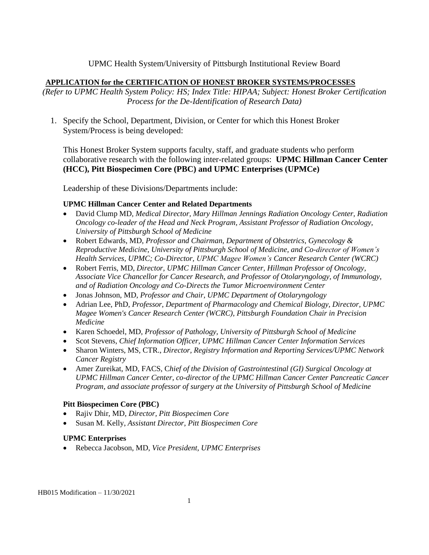## UPMC Health System/University of Pittsburgh Institutional Review Board

## **APPLICATION for the CERTIFICATION OF HONEST BROKER SYSTEMS/PROCESSES**

*(Refer to UPMC Health System Policy: HS; Index Title: HIPAA; Subject: Honest Broker Certification Process for the De-Identification of Research Data)*

1. Specify the School, Department, Division, or Center for which this Honest Broker System/Process is being developed:

This Honest Broker System supports faculty, staff, and graduate students who perform collaborative research with the following inter-related groups: **UPMC Hillman Cancer Center (HCC), Pitt Biospecimen Core (PBC) and UPMC Enterprises (UPMCe)** 

Leadership of these Divisions/Departments include:

## **UPMC Hillman Cancer Center and Related Departments**

- David Clump MD*, Medical Director, Mary Hillman Jennings Radiation Oncology Center, Radiation Oncology co-leader of the Head and Neck Program, Assistant Professor of Radiation Oncology, University of Pittsburgh School of Medicine*
- Robert Edwards, MD, *Professor and Chairman, Department of Obstetrics, Gynecology & Reproductive Medicine, University of Pittsburgh School of Medicine, and Co-director of Women's Health Services, UPMC; Co-Director, UPMC Magee Women's Cancer Research Center (WCRC)*
- Robert Ferris, MD, *Director, UPMC Hillman Cancer Center, Hillman Professor of Oncology, Associate Vice Chancellor for Cancer Research, and Professor of Otolaryngology, of Immunology, and of Radiation Oncology and Co-Directs the Tumor Microenvironment Center*
- Jonas Johnson, MD, *Professor and Chair, UPMC Department of Otolaryngology*
- Adrian Lee, PhD, *Professor, Department of Pharmacology and Chemical Biology, Director, UPMC Magee Women's Cancer Research Center (WCRC), Pittsburgh Foundation Chair in Precision Medicine*
- Karen Schoedel, MD, *Professor of Pathology, University of Pittsburgh School of Medicine*
- Scot Stevens, *Chief Information Officer, UPMC Hillman Cancer Center Information Services*
- Sharon Winters, MS, CTR., *Director, Registry Information and Reporting Services/UPMC Network Cancer Registry*
- Amer Zureikat, MD, FACS, C*hief of the Division of Gastrointestinal (GI) Surgical Oncology at UPMC Hillman Cancer Center, co-director of the UPMC Hillman Cancer Center Pancreatic Cancer Program, and associate professor of surgery at the University of Pittsburgh School of Medicine*

## **Pitt Biospecimen Core (PBC)**

- Rajiv Dhir, MD, *Director, Pitt Biospecimen Core*
- Susan M. Kelly, *Assistant Director, Pitt Biospecimen Core*

# **UPMC Enterprises**

• Rebecca Jacobson, MD, *Vice President, UPMC Enterprises*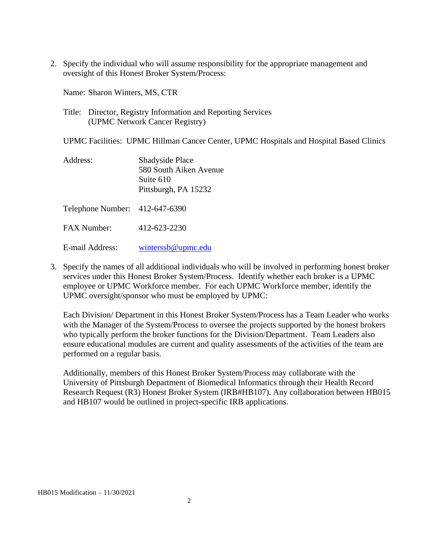2. Specify the individual who will assume responsibility for the appropriate management and oversight of this Honest Broker System/Process:

Name: Sharon Winters, MS, CTR

Title: Director, Registry Information and Reporting Services (UPMC Network Cancer Registry)

UPMC Facilities: UPMC Hillman Cancer Center, UPMC Hospitals and Hospital Based Clinics

| Address: | <b>Shadyside Place</b> |
|----------|------------------------|
|          | 580 South Aiken Avenue |
|          | Suite 610              |
|          | Pittsburgh, PA 15232   |
|          |                        |

Telephone Number: 412-647-6390

FAX Number: 412-623-2230

E-mail Address: [winterssb@upmc.edu](mailto:winterssb@upmc.edu)

3. Specify the names of all additional individuals who will be involved in performing honest broker services under this Honest Broker System/Process. Identify whether each broker is a UPMC employee or UPMC Workforce member. For each UPMC Workforce member, identify the UPMC oversight/sponsor who must be employed by UPMC:

Each Division/ Department in this Honest Broker System/Process has a Team Leader who works with the Manager of the System/Process to oversee the projects supported by the honest brokers who typically perform the broker functions for the Division/Department. Team Leaders also ensure educational modules are current and quality assessments of the activities of the team are performed on a regular basis.

Additionally, members of this Honest Broker System/Process may collaborate with the University of Pittsburgh Department of Biomedical Informatics through their Health Record Research Request (R3) Honest Broker System (IRB#HB107). Any collaboration between HB015 and HB107 would be outlined in project-specific IRB applications.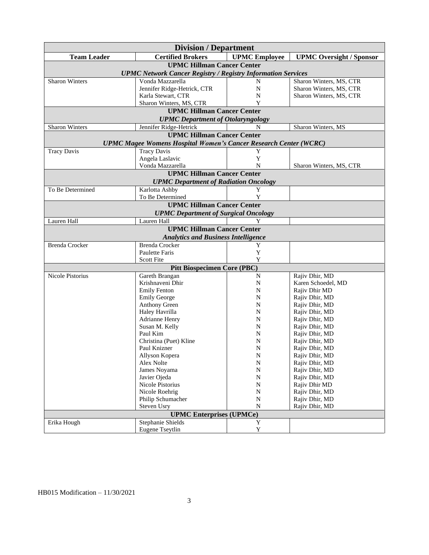| <b>Certified Brokers</b><br><b>UPMC</b> Employee<br><b>Team Leader</b><br><b>UPMC Oversight / Sponsor</b><br><b>UPMC Hillman Cancer Center</b><br><b>UPMC Network Cancer Registry / Registry Information Services</b><br><b>Sharon Winters</b><br>Vonda Mazzarella<br>Sharon Winters, MS, CTR<br>N<br>Jennifer Ridge-Hetrick, CTR<br>N<br>Sharon Winters, MS, CTR<br>Karla Stewart, CTR<br>N<br>Sharon Winters, MS, CTR<br>Sharon Winters, MS, CTR<br>Y<br><b>UPMC Hillman Cancer Center</b><br><b>UPMC</b> Department of Otolaryngology<br>Sharon Winters<br>Sharon Winters, MS<br>Jennifer Ridge-Hetrick<br>N<br><b>UPMC Hillman Cancer Center</b><br><b>UPMC Magee Womens Hospital Women's Cancer Research Center (WCRC)</b><br><b>Tracy Davis</b><br><b>Tracy Davis</b><br>Y<br>Y<br>Angela Laslavic<br>Vonda Mazzarella<br>N<br>Sharon Winters, MS, CTR<br><b>UPMC Hillman Cancer Center</b><br><b>UPMC Department of Radiation Oncology</b><br>To Be Determined<br>Karlotta Ashby<br>Y<br>Y<br>To Be Determined<br><b>UPMC Hillman Cancer Center</b><br><b>UPMC Department of Surgical Oncology</b><br>Lauren Hall<br>Lauren Hall<br>Y<br><b>UPMC Hillman Cancer Center</b><br><b>Analytics and Business Intelligence</b><br><b>Brenda Crocker</b><br>Y<br><b>Brenda Crocker</b><br><b>Paulette Faris</b><br>Y<br>Y<br>Scott Fite<br><b>Pitt Biospecimen Core (PBC)</b><br>Gareth Brangan<br>Rajiv Dhir, MD<br>Nicole Pistorius<br>N<br>Krishnaveni Dhir<br>Karen Schoedel, MD<br>N<br><b>Emily Fenton</b><br>N<br>Rajiv Dhir MD<br><b>Emily George</b><br>Rajiv Dhir, MD<br>N<br>Anthony Green<br>Rajiv Dhir, MD<br>N<br>Haley Havrilla<br>N<br>Rajiv Dhir, MD<br>Adrianne Henry<br>Rajiv Dhir, MD<br>N<br>Susan M. Kelly<br>Rajiv Dhir, MD<br>N<br>Paul Kim<br>N<br>Rajiv Dhir, MD | <b>Division / Department</b> |  |  |  |  |  |
|--------------------------------------------------------------------------------------------------------------------------------------------------------------------------------------------------------------------------------------------------------------------------------------------------------------------------------------------------------------------------------------------------------------------------------------------------------------------------------------------------------------------------------------------------------------------------------------------------------------------------------------------------------------------------------------------------------------------------------------------------------------------------------------------------------------------------------------------------------------------------------------------------------------------------------------------------------------------------------------------------------------------------------------------------------------------------------------------------------------------------------------------------------------------------------------------------------------------------------------------------------------------------------------------------------------------------------------------------------------------------------------------------------------------------------------------------------------------------------------------------------------------------------------------------------------------------------------------------------------------------------------------------------------------------------------------------------------------------------------------------------------------------------------------|------------------------------|--|--|--|--|--|
|                                                                                                                                                                                                                                                                                                                                                                                                                                                                                                                                                                                                                                                                                                                                                                                                                                                                                                                                                                                                                                                                                                                                                                                                                                                                                                                                                                                                                                                                                                                                                                                                                                                                                                                                                                                            |                              |  |  |  |  |  |
|                                                                                                                                                                                                                                                                                                                                                                                                                                                                                                                                                                                                                                                                                                                                                                                                                                                                                                                                                                                                                                                                                                                                                                                                                                                                                                                                                                                                                                                                                                                                                                                                                                                                                                                                                                                            |                              |  |  |  |  |  |
|                                                                                                                                                                                                                                                                                                                                                                                                                                                                                                                                                                                                                                                                                                                                                                                                                                                                                                                                                                                                                                                                                                                                                                                                                                                                                                                                                                                                                                                                                                                                                                                                                                                                                                                                                                                            |                              |  |  |  |  |  |
|                                                                                                                                                                                                                                                                                                                                                                                                                                                                                                                                                                                                                                                                                                                                                                                                                                                                                                                                                                                                                                                                                                                                                                                                                                                                                                                                                                                                                                                                                                                                                                                                                                                                                                                                                                                            |                              |  |  |  |  |  |
|                                                                                                                                                                                                                                                                                                                                                                                                                                                                                                                                                                                                                                                                                                                                                                                                                                                                                                                                                                                                                                                                                                                                                                                                                                                                                                                                                                                                                                                                                                                                                                                                                                                                                                                                                                                            |                              |  |  |  |  |  |
|                                                                                                                                                                                                                                                                                                                                                                                                                                                                                                                                                                                                                                                                                                                                                                                                                                                                                                                                                                                                                                                                                                                                                                                                                                                                                                                                                                                                                                                                                                                                                                                                                                                                                                                                                                                            |                              |  |  |  |  |  |
|                                                                                                                                                                                                                                                                                                                                                                                                                                                                                                                                                                                                                                                                                                                                                                                                                                                                                                                                                                                                                                                                                                                                                                                                                                                                                                                                                                                                                                                                                                                                                                                                                                                                                                                                                                                            |                              |  |  |  |  |  |
|                                                                                                                                                                                                                                                                                                                                                                                                                                                                                                                                                                                                                                                                                                                                                                                                                                                                                                                                                                                                                                                                                                                                                                                                                                                                                                                                                                                                                                                                                                                                                                                                                                                                                                                                                                                            |                              |  |  |  |  |  |
|                                                                                                                                                                                                                                                                                                                                                                                                                                                                                                                                                                                                                                                                                                                                                                                                                                                                                                                                                                                                                                                                                                                                                                                                                                                                                                                                                                                                                                                                                                                                                                                                                                                                                                                                                                                            |                              |  |  |  |  |  |
|                                                                                                                                                                                                                                                                                                                                                                                                                                                                                                                                                                                                                                                                                                                                                                                                                                                                                                                                                                                                                                                                                                                                                                                                                                                                                                                                                                                                                                                                                                                                                                                                                                                                                                                                                                                            |                              |  |  |  |  |  |
|                                                                                                                                                                                                                                                                                                                                                                                                                                                                                                                                                                                                                                                                                                                                                                                                                                                                                                                                                                                                                                                                                                                                                                                                                                                                                                                                                                                                                                                                                                                                                                                                                                                                                                                                                                                            |                              |  |  |  |  |  |
|                                                                                                                                                                                                                                                                                                                                                                                                                                                                                                                                                                                                                                                                                                                                                                                                                                                                                                                                                                                                                                                                                                                                                                                                                                                                                                                                                                                                                                                                                                                                                                                                                                                                                                                                                                                            |                              |  |  |  |  |  |
|                                                                                                                                                                                                                                                                                                                                                                                                                                                                                                                                                                                                                                                                                                                                                                                                                                                                                                                                                                                                                                                                                                                                                                                                                                                                                                                                                                                                                                                                                                                                                                                                                                                                                                                                                                                            |                              |  |  |  |  |  |
|                                                                                                                                                                                                                                                                                                                                                                                                                                                                                                                                                                                                                                                                                                                                                                                                                                                                                                                                                                                                                                                                                                                                                                                                                                                                                                                                                                                                                                                                                                                                                                                                                                                                                                                                                                                            |                              |  |  |  |  |  |
|                                                                                                                                                                                                                                                                                                                                                                                                                                                                                                                                                                                                                                                                                                                                                                                                                                                                                                                                                                                                                                                                                                                                                                                                                                                                                                                                                                                                                                                                                                                                                                                                                                                                                                                                                                                            |                              |  |  |  |  |  |
|                                                                                                                                                                                                                                                                                                                                                                                                                                                                                                                                                                                                                                                                                                                                                                                                                                                                                                                                                                                                                                                                                                                                                                                                                                                                                                                                                                                                                                                                                                                                                                                                                                                                                                                                                                                            |                              |  |  |  |  |  |
|                                                                                                                                                                                                                                                                                                                                                                                                                                                                                                                                                                                                                                                                                                                                                                                                                                                                                                                                                                                                                                                                                                                                                                                                                                                                                                                                                                                                                                                                                                                                                                                                                                                                                                                                                                                            |                              |  |  |  |  |  |
|                                                                                                                                                                                                                                                                                                                                                                                                                                                                                                                                                                                                                                                                                                                                                                                                                                                                                                                                                                                                                                                                                                                                                                                                                                                                                                                                                                                                                                                                                                                                                                                                                                                                                                                                                                                            |                              |  |  |  |  |  |
|                                                                                                                                                                                                                                                                                                                                                                                                                                                                                                                                                                                                                                                                                                                                                                                                                                                                                                                                                                                                                                                                                                                                                                                                                                                                                                                                                                                                                                                                                                                                                                                                                                                                                                                                                                                            |                              |  |  |  |  |  |
|                                                                                                                                                                                                                                                                                                                                                                                                                                                                                                                                                                                                                                                                                                                                                                                                                                                                                                                                                                                                                                                                                                                                                                                                                                                                                                                                                                                                                                                                                                                                                                                                                                                                                                                                                                                            |                              |  |  |  |  |  |
|                                                                                                                                                                                                                                                                                                                                                                                                                                                                                                                                                                                                                                                                                                                                                                                                                                                                                                                                                                                                                                                                                                                                                                                                                                                                                                                                                                                                                                                                                                                                                                                                                                                                                                                                                                                            |                              |  |  |  |  |  |
|                                                                                                                                                                                                                                                                                                                                                                                                                                                                                                                                                                                                                                                                                                                                                                                                                                                                                                                                                                                                                                                                                                                                                                                                                                                                                                                                                                                                                                                                                                                                                                                                                                                                                                                                                                                            |                              |  |  |  |  |  |
|                                                                                                                                                                                                                                                                                                                                                                                                                                                                                                                                                                                                                                                                                                                                                                                                                                                                                                                                                                                                                                                                                                                                                                                                                                                                                                                                                                                                                                                                                                                                                                                                                                                                                                                                                                                            |                              |  |  |  |  |  |
|                                                                                                                                                                                                                                                                                                                                                                                                                                                                                                                                                                                                                                                                                                                                                                                                                                                                                                                                                                                                                                                                                                                                                                                                                                                                                                                                                                                                                                                                                                                                                                                                                                                                                                                                                                                            |                              |  |  |  |  |  |
|                                                                                                                                                                                                                                                                                                                                                                                                                                                                                                                                                                                                                                                                                                                                                                                                                                                                                                                                                                                                                                                                                                                                                                                                                                                                                                                                                                                                                                                                                                                                                                                                                                                                                                                                                                                            |                              |  |  |  |  |  |
|                                                                                                                                                                                                                                                                                                                                                                                                                                                                                                                                                                                                                                                                                                                                                                                                                                                                                                                                                                                                                                                                                                                                                                                                                                                                                                                                                                                                                                                                                                                                                                                                                                                                                                                                                                                            |                              |  |  |  |  |  |
|                                                                                                                                                                                                                                                                                                                                                                                                                                                                                                                                                                                                                                                                                                                                                                                                                                                                                                                                                                                                                                                                                                                                                                                                                                                                                                                                                                                                                                                                                                                                                                                                                                                                                                                                                                                            |                              |  |  |  |  |  |
|                                                                                                                                                                                                                                                                                                                                                                                                                                                                                                                                                                                                                                                                                                                                                                                                                                                                                                                                                                                                                                                                                                                                                                                                                                                                                                                                                                                                                                                                                                                                                                                                                                                                                                                                                                                            |                              |  |  |  |  |  |
|                                                                                                                                                                                                                                                                                                                                                                                                                                                                                                                                                                                                                                                                                                                                                                                                                                                                                                                                                                                                                                                                                                                                                                                                                                                                                                                                                                                                                                                                                                                                                                                                                                                                                                                                                                                            |                              |  |  |  |  |  |
|                                                                                                                                                                                                                                                                                                                                                                                                                                                                                                                                                                                                                                                                                                                                                                                                                                                                                                                                                                                                                                                                                                                                                                                                                                                                                                                                                                                                                                                                                                                                                                                                                                                                                                                                                                                            |                              |  |  |  |  |  |
|                                                                                                                                                                                                                                                                                                                                                                                                                                                                                                                                                                                                                                                                                                                                                                                                                                                                                                                                                                                                                                                                                                                                                                                                                                                                                                                                                                                                                                                                                                                                                                                                                                                                                                                                                                                            |                              |  |  |  |  |  |
|                                                                                                                                                                                                                                                                                                                                                                                                                                                                                                                                                                                                                                                                                                                                                                                                                                                                                                                                                                                                                                                                                                                                                                                                                                                                                                                                                                                                                                                                                                                                                                                                                                                                                                                                                                                            |                              |  |  |  |  |  |
|                                                                                                                                                                                                                                                                                                                                                                                                                                                                                                                                                                                                                                                                                                                                                                                                                                                                                                                                                                                                                                                                                                                                                                                                                                                                                                                                                                                                                                                                                                                                                                                                                                                                                                                                                                                            |                              |  |  |  |  |  |
|                                                                                                                                                                                                                                                                                                                                                                                                                                                                                                                                                                                                                                                                                                                                                                                                                                                                                                                                                                                                                                                                                                                                                                                                                                                                                                                                                                                                                                                                                                                                                                                                                                                                                                                                                                                            |                              |  |  |  |  |  |
|                                                                                                                                                                                                                                                                                                                                                                                                                                                                                                                                                                                                                                                                                                                                                                                                                                                                                                                                                                                                                                                                                                                                                                                                                                                                                                                                                                                                                                                                                                                                                                                                                                                                                                                                                                                            |                              |  |  |  |  |  |
|                                                                                                                                                                                                                                                                                                                                                                                                                                                                                                                                                                                                                                                                                                                                                                                                                                                                                                                                                                                                                                                                                                                                                                                                                                                                                                                                                                                                                                                                                                                                                                                                                                                                                                                                                                                            |                              |  |  |  |  |  |
|                                                                                                                                                                                                                                                                                                                                                                                                                                                                                                                                                                                                                                                                                                                                                                                                                                                                                                                                                                                                                                                                                                                                                                                                                                                                                                                                                                                                                                                                                                                                                                                                                                                                                                                                                                                            |                              |  |  |  |  |  |
| Christina (Puet) Kline<br>N<br>Rajiv Dhir, MD                                                                                                                                                                                                                                                                                                                                                                                                                                                                                                                                                                                                                                                                                                                                                                                                                                                                                                                                                                                                                                                                                                                                                                                                                                                                                                                                                                                                                                                                                                                                                                                                                                                                                                                                              |                              |  |  |  |  |  |
| Paul Knizner<br>N<br>Rajiv Dhir, MD                                                                                                                                                                                                                                                                                                                                                                                                                                                                                                                                                                                                                                                                                                                                                                                                                                                                                                                                                                                                                                                                                                                                                                                                                                                                                                                                                                                                                                                                                                                                                                                                                                                                                                                                                        |                              |  |  |  |  |  |
| N<br>Rajiv Dhir, MD<br>Allyson Kopera                                                                                                                                                                                                                                                                                                                                                                                                                                                                                                                                                                                                                                                                                                                                                                                                                                                                                                                                                                                                                                                                                                                                                                                                                                                                                                                                                                                                                                                                                                                                                                                                                                                                                                                                                      |                              |  |  |  |  |  |
| Alex Nolte<br>Rajiv Dhir, MD<br>N<br>James Noyama<br>$\mathbf N$<br>Rajiv Dhir, MD                                                                                                                                                                                                                                                                                                                                                                                                                                                                                                                                                                                                                                                                                                                                                                                                                                                                                                                                                                                                                                                                                                                                                                                                                                                                                                                                                                                                                                                                                                                                                                                                                                                                                                         |                              |  |  |  |  |  |
| Javier Ojeda<br>${\bf N}$<br>Rajiv Dhir, MD                                                                                                                                                                                                                                                                                                                                                                                                                                                                                                                                                                                                                                                                                                                                                                                                                                                                                                                                                                                                                                                                                                                                                                                                                                                                                                                                                                                                                                                                                                                                                                                                                                                                                                                                                |                              |  |  |  |  |  |
| Nicole Pistorius<br>Rajiv Dhir MD<br>N                                                                                                                                                                                                                                                                                                                                                                                                                                                                                                                                                                                                                                                                                                                                                                                                                                                                                                                                                                                                                                                                                                                                                                                                                                                                                                                                                                                                                                                                                                                                                                                                                                                                                                                                                     |                              |  |  |  |  |  |
| Nicole Roehrig<br>${\bf N}$<br>Rajiv Dhir, MD                                                                                                                                                                                                                                                                                                                                                                                                                                                                                                                                                                                                                                                                                                                                                                                                                                                                                                                                                                                                                                                                                                                                                                                                                                                                                                                                                                                                                                                                                                                                                                                                                                                                                                                                              |                              |  |  |  |  |  |
| Philip Schumacher<br>${\bf N}$<br>Rajiv Dhir, MD                                                                                                                                                                                                                                                                                                                                                                                                                                                                                                                                                                                                                                                                                                                                                                                                                                                                                                                                                                                                                                                                                                                                                                                                                                                                                                                                                                                                                                                                                                                                                                                                                                                                                                                                           |                              |  |  |  |  |  |
| ${\bf N}$<br>Steven Usry<br>Rajiv Dhir, MD                                                                                                                                                                                                                                                                                                                                                                                                                                                                                                                                                                                                                                                                                                                                                                                                                                                                                                                                                                                                                                                                                                                                                                                                                                                                                                                                                                                                                                                                                                                                                                                                                                                                                                                                                 |                              |  |  |  |  |  |
| <b>UPMC Enterprises (UPMCe)</b>                                                                                                                                                                                                                                                                                                                                                                                                                                                                                                                                                                                                                                                                                                                                                                                                                                                                                                                                                                                                                                                                                                                                                                                                                                                                                                                                                                                                                                                                                                                                                                                                                                                                                                                                                            |                              |  |  |  |  |  |
| Y<br>Erika Hough<br>Stephanie Shields                                                                                                                                                                                                                                                                                                                                                                                                                                                                                                                                                                                                                                                                                                                                                                                                                                                                                                                                                                                                                                                                                                                                                                                                                                                                                                                                                                                                                                                                                                                                                                                                                                                                                                                                                      |                              |  |  |  |  |  |
| Eugene Tseytlin<br>Y                                                                                                                                                                                                                                                                                                                                                                                                                                                                                                                                                                                                                                                                                                                                                                                                                                                                                                                                                                                                                                                                                                                                                                                                                                                                                                                                                                                                                                                                                                                                                                                                                                                                                                                                                                       |                              |  |  |  |  |  |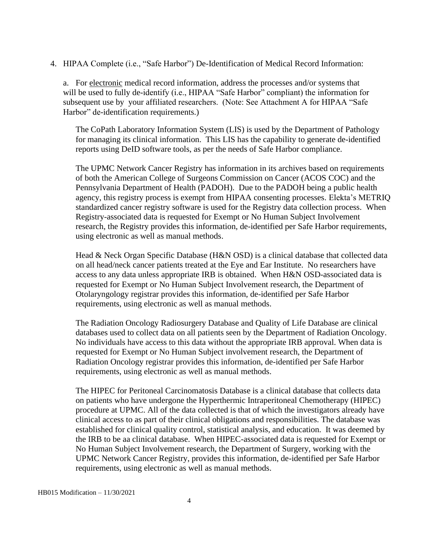4. HIPAA Complete (i.e., "Safe Harbor") De-Identification of Medical Record Information:

a. For electronic medical record information, address the processes and/or systems that will be used to fully de-identify (i.e., HIPAA "Safe Harbor" compliant) the information for subsequent use by your affiliated researchers. (Note: See Attachment A for HIPAA "Safe Harbor" de-identification requirements.)

The CoPath Laboratory Information System (LIS) is used by the Department of Pathology for managing its clinical information. This LIS has the capability to generate de-identified reports using DeID software tools, as per the needs of Safe Harbor compliance.

The UPMC Network Cancer Registry has information in its archives based on requirements of both the American College of Surgeons Commission on Cancer (ACOS COC) and the Pennsylvania Department of Health (PADOH). Due to the PADOH being a public health agency, this registry process is exempt from HIPAA consenting processes. Elekta's METRIQ standardized cancer registry software is used for the Registry data collection process. When Registry-associated data is requested for Exempt or No Human Subject Involvement research, the Registry provides this information, de-identified per Safe Harbor requirements, using electronic as well as manual methods.

Head & Neck Organ Specific Database (H&N OSD) is a clinical database that collected data on all head/neck cancer patients treated at the Eye and Ear Institute. No researchers have access to any data unless appropriate IRB is obtained. When H&N OSD-associated data is requested for Exempt or No Human Subject Involvement research, the Department of Otolaryngology registrar provides this information, de-identified per Safe Harbor requirements, using electronic as well as manual methods.

The Radiation Oncology Radiosurgery Database and Quality of Life Database are clinical databases used to collect data on all patients seen by the Department of Radiation Oncology. No individuals have access to this data without the appropriate IRB approval. When data is requested for Exempt or No Human Subject involvement research, the Department of Radiation Oncology registrar provides this information, de-identified per Safe Harbor requirements, using electronic as well as manual methods.

The HIPEC for Peritoneal Carcinomatosis Database is a clinical database that collects data on patients who have undergone the Hyperthermic Intraperitoneal Chemotherapy (HIPEC) procedure at UPMC. All of the data collected is that of which the investigators already have clinical access to as part of their clinical obligations and responsibilities. The database was established for clinical quality control, statistical analysis, and education. It was deemed by the IRB to be aa clinical database. When HIPEC-associated data is requested for Exempt or No Human Subject Involvement research, the Department of Surgery, working with the UPMC Network Cancer Registry, provides this information, de-identified per Safe Harbor requirements, using electronic as well as manual methods.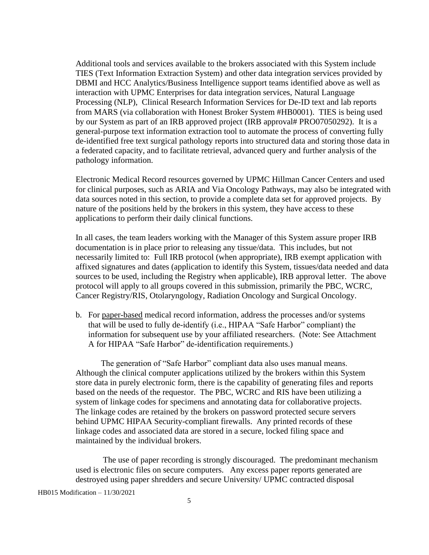Additional tools and services available to the brokers associated with this System include TIES (Text Information Extraction System) and other data integration services provided by DBMI and HCC Analytics/Business Intelligence support teams identified above as well as interaction with UPMC Enterprises for data integration services, Natural Language Processing (NLP), Clinical Research Information Services for De-ID text and lab reports from MARS (via collaboration with Honest Broker System #HB0001). TIES is being used by our System as part of an IRB approved project (IRB approval# PRO07050292). It is a general-purpose text information extraction tool to automate the process of converting fully de-identified free text surgical pathology reports into structured data and storing those data in a federated capacity, and to facilitate retrieval, advanced query and further analysis of the pathology information.

Electronic Medical Record resources governed by UPMC Hillman Cancer Centers and used for clinical purposes, such as ARIA and Via Oncology Pathways, may also be integrated with data sources noted in this section, to provide a complete data set for approved projects. By nature of the positions held by the brokers in this system, they have access to these applications to perform their daily clinical functions.

In all cases, the team leaders working with the Manager of this System assure proper IRB documentation is in place prior to releasing any tissue/data. This includes, but not necessarily limited to: Full IRB protocol (when appropriate), IRB exempt application with affixed signatures and dates (application to identify this System, tissues/data needed and data sources to be used, including the Registry when applicable), IRB approval letter. The above protocol will apply to all groups covered in this submission, primarily the PBC, WCRC, Cancer Registry/RIS, Otolaryngology, Radiation Oncology and Surgical Oncology.

b. For paper-based medical record information, address the processes and/or systems that will be used to fully de-identify (i.e., HIPAA "Safe Harbor" compliant) the information for subsequent use by your affiliated researchers. (Note: See Attachment A for HIPAA "Safe Harbor" de-identification requirements.)

The generation of "Safe Harbor" compliant data also uses manual means. Although the clinical computer applications utilized by the brokers within this System store data in purely electronic form, there is the capability of generating files and reports based on the needs of the requestor. The PBC, WCRC and RIS have been utilizing a system of linkage codes for specimens and annotating data for collaborative projects. The linkage codes are retained by the brokers on password protected secure servers behind UPMC HIPAA Security-compliant firewalls. Any printed records of these linkage codes and associated data are stored in a secure, locked filing space and maintained by the individual brokers.

The use of paper recording is strongly discouraged. The predominant mechanism used is electronic files on secure computers. Any excess paper reports generated are destroyed using paper shredders and secure University/ UPMC contracted disposal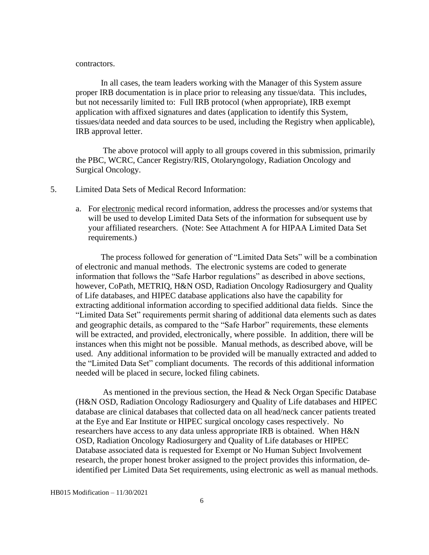#### contractors.

In all cases, the team leaders working with the Manager of this System assure proper IRB documentation is in place prior to releasing any tissue/data. This includes, but not necessarily limited to: Full IRB protocol (when appropriate), IRB exempt application with affixed signatures and dates (application to identify this System, tissues/data needed and data sources to be used, including the Registry when applicable), IRB approval letter.

The above protocol will apply to all groups covered in this submission, primarily the PBC, WCRC, Cancer Registry/RIS, Otolaryngology, Radiation Oncology and Surgical Oncology.

- 5. Limited Data Sets of Medical Record Information:
	- a. For electronic medical record information, address the processes and/or systems that will be used to develop Limited Data Sets of the information for subsequent use by your affiliated researchers. (Note: See Attachment A for HIPAA Limited Data Set requirements.)

The process followed for generation of "Limited Data Sets" will be a combination of electronic and manual methods. The electronic systems are coded to generate information that follows the "Safe Harbor regulations" as described in above sections, however, CoPath, METRIQ, H&N OSD, Radiation Oncology Radiosurgery and Quality of Life databases, and HIPEC database applications also have the capability for extracting additional information according to specified additional data fields. Since the "Limited Data Set" requirements permit sharing of additional data elements such as dates and geographic details, as compared to the "Safe Harbor" requirements, these elements will be extracted, and provided, electronically, where possible. In addition, there will be instances when this might not be possible. Manual methods, as described above, will be used. Any additional information to be provided will be manually extracted and added to the "Limited Data Set" compliant documents. The records of this additional information needed will be placed in secure, locked filing cabinets.

As mentioned in the previous section, the Head & Neck Organ Specific Database (H&N OSD, Radiation Oncology Radiosurgery and Quality of Life databases and HIPEC database are clinical databases that collected data on all head/neck cancer patients treated at the Eye and Ear Institute or HIPEC surgical oncology cases respectively. No researchers have access to any data unless appropriate IRB is obtained. When H&N OSD, Radiation Oncology Radiosurgery and Quality of Life databases or HIPEC Database associated data is requested for Exempt or No Human Subject Involvement research, the proper honest broker assigned to the project provides this information, deidentified per Limited Data Set requirements, using electronic as well as manual methods.

HB015 Modification – 11/30/2021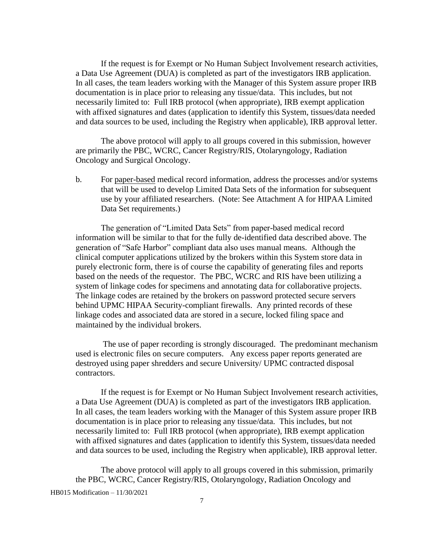If the request is for Exempt or No Human Subject Involvement research activities, a Data Use Agreement (DUA) is completed as part of the investigators IRB application. In all cases, the team leaders working with the Manager of this System assure proper IRB documentation is in place prior to releasing any tissue/data. This includes, but not necessarily limited to: Full IRB protocol (when appropriate), IRB exempt application with affixed signatures and dates (application to identify this System, tissues/data needed and data sources to be used, including the Registry when applicable), IRB approval letter.

The above protocol will apply to all groups covered in this submission, however are primarily the PBC, WCRC, Cancer Registry/RIS, Otolaryngology, Radiation Oncology and Surgical Oncology.

b. For paper-based medical record information, address the processes and/or systems that will be used to develop Limited Data Sets of the information for subsequent use by your affiliated researchers. (Note: See Attachment A for HIPAA Limited Data Set requirements.)

The generation of "Limited Data Sets" from paper-based medical record information will be similar to that for the fully de-identified data described above. The generation of "Safe Harbor" compliant data also uses manual means. Although the clinical computer applications utilized by the brokers within this System store data in purely electronic form, there is of course the capability of generating files and reports based on the needs of the requestor. The PBC, WCRC and RIS have been utilizing a system of linkage codes for specimens and annotating data for collaborative projects. The linkage codes are retained by the brokers on password protected secure servers behind UPMC HIPAA Security-compliant firewalls. Any printed records of these linkage codes and associated data are stored in a secure, locked filing space and maintained by the individual brokers.

The use of paper recording is strongly discouraged. The predominant mechanism used is electronic files on secure computers. Any excess paper reports generated are destroyed using paper shredders and secure University/ UPMC contracted disposal contractors.

If the request is for Exempt or No Human Subject Involvement research activities, a Data Use Agreement (DUA) is completed as part of the investigators IRB application. In all cases, the team leaders working with the Manager of this System assure proper IRB documentation is in place prior to releasing any tissue/data. This includes, but not necessarily limited to: Full IRB protocol (when appropriate), IRB exempt application with affixed signatures and dates (application to identify this System, tissues/data needed and data sources to be used, including the Registry when applicable), IRB approval letter.

The above protocol will apply to all groups covered in this submission, primarily the PBC, WCRC, Cancer Registry/RIS, Otolaryngology, Radiation Oncology and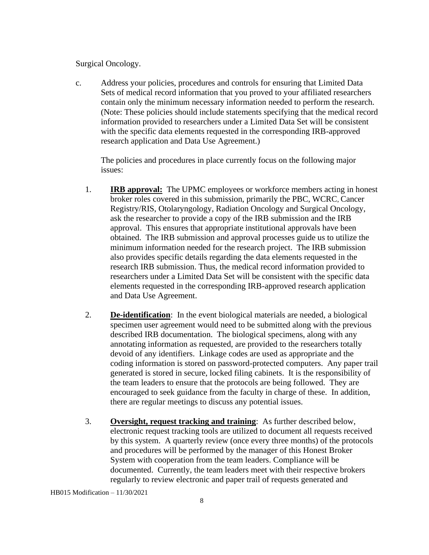### Surgical Oncology.

c. Address your policies, procedures and controls for ensuring that Limited Data Sets of medical record information that you proved to your affiliated researchers contain only the minimum necessary information needed to perform the research. (Note: These policies should include statements specifying that the medical record information provided to researchers under a Limited Data Set will be consistent with the specific data elements requested in the corresponding IRB-approved research application and Data Use Agreement.)

The policies and procedures in place currently focus on the following major issues:

- 1. **IRB approval:** The UPMC employees or workforce members acting in honest broker roles covered in this submission, primarily the PBC, WCRC, Cancer Registry/RIS, Otolaryngology, Radiation Oncology and Surgical Oncology, ask the researcher to provide a copy of the IRB submission and the IRB approval. This ensures that appropriate institutional approvals have been obtained. The IRB submission and approval processes guide us to utilize the minimum information needed for the research project. The IRB submission also provides specific details regarding the data elements requested in the research IRB submission. Thus, the medical record information provided to researchers under a Limited Data Set will be consistent with the specific data elements requested in the corresponding IRB-approved research application and Data Use Agreement.
- 2. **De-identification**: In the event biological materials are needed, a biological specimen user agreement would need to be submitted along with the previous described IRB documentation. The biological specimens, along with any annotating information as requested, are provided to the researchers totally devoid of any identifiers. Linkage codes are used as appropriate and the coding information is stored on password-protected computers. Any paper trail generated is stored in secure, locked filing cabinets. It is the responsibility of the team leaders to ensure that the protocols are being followed. They are encouraged to seek guidance from the faculty in charge of these. In addition, there are regular meetings to discuss any potential issues.
- 3. **Oversight, request tracking and training**: As further described below, electronic request tracking tools are utilized to document all requests received by this system. A quarterly review (once every three months) of the protocols and procedures will be performed by the manager of this Honest Broker System with cooperation from the team leaders. Compliance will be documented. Currently, the team leaders meet with their respective brokers regularly to review electronic and paper trail of requests generated and

HB015 Modification – 11/30/2021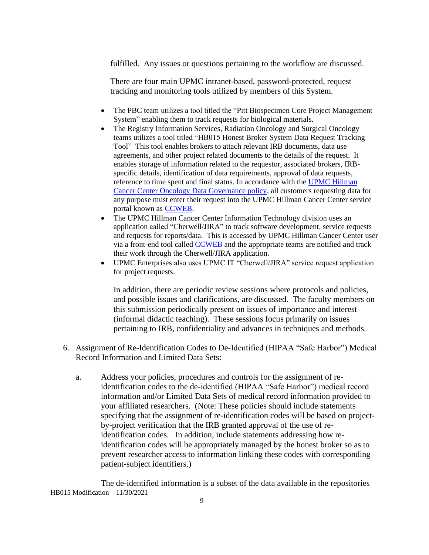fulfilled. Any issues or questions pertaining to the workflow are discussed.

There are four main UPMC intranet-based, password-protected, request tracking and monitoring tools utilized by members of this System.

- The PBC team utilizes a tool titled the "Pitt Biospecimen Core Project Management" System" enabling them to track requests for biological materials.
- The Registry Information Services, Radiation Oncology and Surgical Oncology teams utilizes a tool titled "HB015 Honest Broker System Data Request Tracking Tool" This tool enables brokers to attach relevant IRB documents, data use agreements, and other project related documents to the details of the request. It enables storage of information related to the requestor, associated brokers, IRBspecific details, identification of data requirements, approval of data requests, reference to time spent and final status. In accordance with the [UPMC Hillman](https://upmchs.sharepoint.com/sites/infonet/UPMCPolicies/CCPolicyDocuments/CC-ADM-020.pdf)  [Cancer Center Oncology Data Governance policy,](https://upmchs.sharepoint.com/sites/infonet/UPMCPolicies/CCPolicyDocuments/CC-ADM-020.pdf) all customers requesting data for any purpose must enter their request into the UPMC Hillman Cancer Center service portal known as [CCWEB.](http://ccweb.upmc.edu/)
- The UPMC Hillman Cancer Center Information Technology division uses an application called "Cherwell/JIRA" to track software development, service requests and requests for reports/data. This is accessed by UPMC Hillman Cancer Center user via a front-end tool called [CCWEB](http://ccweb.upmc.edu/) and the appropriate teams are notified and track their work through the Cherwell/JIRA application.
- UPMC Enterprises also uses UPMC IT "Cherwell/JIRA" service request application for project requests.

In addition, there are periodic review sessions where protocols and policies, and possible issues and clarifications, are discussed. The faculty members on this submission periodically present on issues of importance and interest (informal didactic teaching). These sessions focus primarily on issues pertaining to IRB, confidentiality and advances in techniques and methods.

- 6. Assignment of Re-Identification Codes to De-Identified (HIPAA "Safe Harbor") Medical Record Information and Limited Data Sets:
	- a. Address your policies, procedures and controls for the assignment of reidentification codes to the de-identified (HIPAA "Safe Harbor") medical record information and/or Limited Data Sets of medical record information provided to your affiliated researchers. (Note: These policies should include statements specifying that the assignment of re-identification codes will be based on projectby-project verification that the IRB granted approval of the use of reidentification codes. In addition, include statements addressing how reidentification codes will be appropriately managed by the honest broker so as to prevent researcher access to information linking these codes with corresponding patient-subject identifiers.)

HB015 Modification – 11/30/2021 The de-identified information is a subset of the data available in the repositories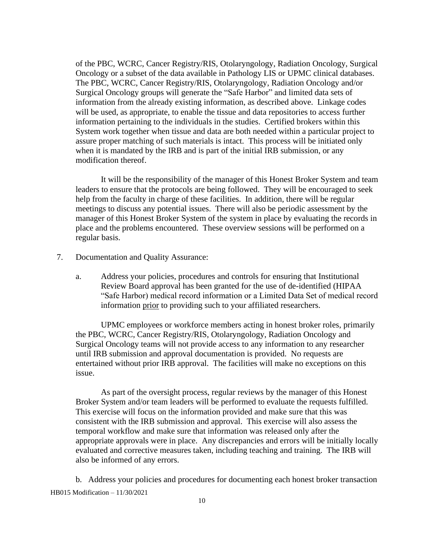of the PBC, WCRC, Cancer Registry/RIS, Otolaryngology, Radiation Oncology, Surgical Oncology or a subset of the data available in Pathology LIS or UPMC clinical databases. The PBC, WCRC, Cancer Registry/RIS, Otolaryngology, Radiation Oncology and/or Surgical Oncology groups will generate the "Safe Harbor" and limited data sets of information from the already existing information, as described above. Linkage codes will be used, as appropriate, to enable the tissue and data repositories to access further information pertaining to the individuals in the studies. Certified brokers within this System work together when tissue and data are both needed within a particular project to assure proper matching of such materials is intact. This process will be initiated only when it is mandated by the IRB and is part of the initial IRB submission, or any modification thereof.

It will be the responsibility of the manager of this Honest Broker System and team leaders to ensure that the protocols are being followed. They will be encouraged to seek help from the faculty in charge of these facilities. In addition, there will be regular meetings to discuss any potential issues. There will also be periodic assessment by the manager of this Honest Broker System of the system in place by evaluating the records in place and the problems encountered. These overview sessions will be performed on a regular basis.

- 7. Documentation and Quality Assurance:
	- a. Address your policies, procedures and controls for ensuring that Institutional Review Board approval has been granted for the use of de-identified (HIPAA "Safe Harbor) medical record information or a Limited Data Set of medical record information prior to providing such to your affiliated researchers.

UPMC employees or workforce members acting in honest broker roles, primarily the PBC, WCRC, Cancer Registry/RIS, Otolaryngology, Radiation Oncology and Surgical Oncology teams will not provide access to any information to any researcher until IRB submission and approval documentation is provided. No requests are entertained without prior IRB approval. The facilities will make no exceptions on this issue.

As part of the oversight process, regular reviews by the manager of this Honest Broker System and/or team leaders will be performed to evaluate the requests fulfilled. This exercise will focus on the information provided and make sure that this was consistent with the IRB submission and approval. This exercise will also assess the temporal workflow and make sure that information was released only after the appropriate approvals were in place. Any discrepancies and errors will be initially locally evaluated and corrective measures taken, including teaching and training. The IRB will also be informed of any errors.

HB015 Modification – 11/30/2021 b. Address your policies and procedures for documenting each honest broker transaction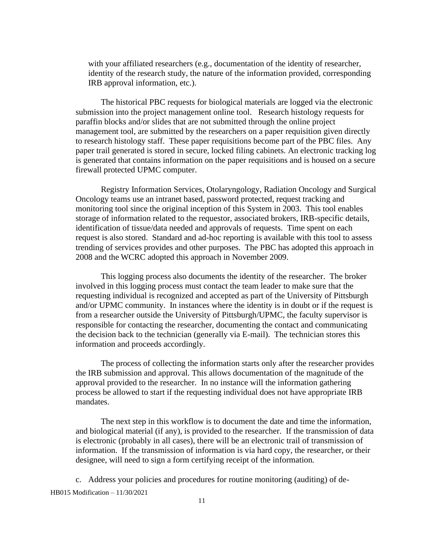with your affiliated researchers (e.g., documentation of the identity of researcher, identity of the research study, the nature of the information provided, corresponding IRB approval information, etc.).

The historical PBC requests for biological materials are logged via the electronic submission into the project management online tool. Research histology requests for paraffin blocks and/or slides that are not submitted through the online project management tool, are submitted by the researchers on a paper requisition given directly to research histology staff. These paper requisitions become part of the PBC files. Any paper trail generated is stored in secure, locked filing cabinets. An electronic tracking log is generated that contains information on the paper requisitions and is housed on a secure firewall protected UPMC computer.

 Registry Information Services, Otolaryngology, Radiation Oncology and Surgical Oncology teams use an intranet based, password protected, request tracking and monitoring tool since the original inception of this System in 2003. This tool enables storage of information related to the requestor, associated brokers, IRB-specific details, identification of tissue/data needed and approvals of requests. Time spent on each request is also stored. Standard and ad-hoc reporting is available with this tool to assess trending of services provides and other purposes. The PBC has adopted this approach in 2008 and the WCRC adopted this approach in November 2009.

This logging process also documents the identity of the researcher. The broker involved in this logging process must contact the team leader to make sure that the requesting individual is recognized and accepted as part of the University of Pittsburgh and/or UPMC community. In instances where the identity is in doubt or if the request is from a researcher outside the University of Pittsburgh/UPMC, the faculty supervisor is responsible for contacting the researcher, documenting the contact and communicating the decision back to the technician (generally via E-mail). The technician stores this information and proceeds accordingly.

The process of collecting the information starts only after the researcher provides the IRB submission and approval. This allows documentation of the magnitude of the approval provided to the researcher. In no instance will the information gathering process be allowed to start if the requesting individual does not have appropriate IRB mandates.

The next step in this workflow is to document the date and time the information, and biological material (if any), is provided to the researcher. If the transmission of data is electronic (probably in all cases), there will be an electronic trail of transmission of information. If the transmission of information is via hard copy, the researcher, or their designee, will need to sign a form certifying receipt of the information*.*

HB015 Modification – 11/30/2021 c. Address your policies and procedures for routine monitoring (auditing) of de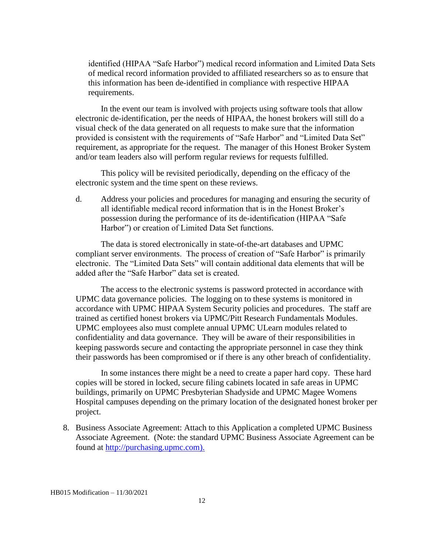identified (HIPAA "Safe Harbor") medical record information and Limited Data Sets of medical record information provided to affiliated researchers so as to ensure that this information has been de-identified in compliance with respective HIPAA requirements.

In the event our team is involved with projects using software tools that allow electronic de-identification, per the needs of HIPAA, the honest brokers will still do a visual check of the data generated on all requests to make sure that the information provided is consistent with the requirements of "Safe Harbor" and "Limited Data Set" requirement, as appropriate for the request. The manager of this Honest Broker System and/or team leaders also will perform regular reviews for requests fulfilled.

This policy will be revisited periodically, depending on the efficacy of the electronic system and the time spent on these reviews.

d. Address your policies and procedures for managing and ensuring the security of all identifiable medical record information that is in the Honest Broker's possession during the performance of its de-identification (HIPAA "Safe Harbor") or creation of Limited Data Set functions.

The data is stored electronically in state-of-the-art databases and UPMC compliant server environments. The process of creation of "Safe Harbor" is primarily electronic. The "Limited Data Sets" will contain additional data elements that will be added after the "Safe Harbor" data set is created.

The access to the electronic systems is password protected in accordance with UPMC data governance policies. The logging on to these systems is monitored in accordance with UPMC HIPAA System Security policies and procedures. The staff are trained as certified honest brokers via UPMC/Pitt Research Fundamentals Modules. UPMC employees also must complete annual UPMC ULearn modules related to confidentiality and data governance. They will be aware of their responsibilities in keeping passwords secure and contacting the appropriate personnel in case they think their passwords has been compromised or if there is any other breach of confidentiality.

In some instances there might be a need to create a paper hard copy. These hard copies will be stored in locked, secure filing cabinets located in safe areas in UPMC buildings, primarily on UPMC Presbyterian Shadyside and UPMC Magee Womens Hospital campuses depending on the primary location of the designated honest broker per project.

8. Business Associate Agreement: Attach to this Application a completed UPMC Business Associate Agreement. (Note: the standard UPMC Business Associate Agreement can be found at [http://purchasing.upmc.com\)](http://purchasing.upmc.com/).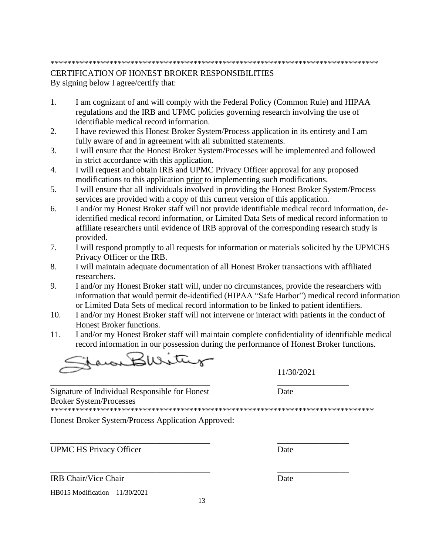#### \*\*\*\*\*\*\*\*\*\*\*\*\*\*\*\*\*\*\*\*\*\*\*\*\*\*\*\*\*\*\*\*\*\*\*\*\*\*\*\*\*\*\*\*\*\*\*\*\*\*\*\*\*\*\*\*\*\*\*\*\*\*\*\*\*\*\*\*\*\*\*\*\*\*\*\*\*\*

### CERTIFICATION OF HONEST BROKER RESPONSIBILITIES By signing below I agree/certify that:

- 1. I am cognizant of and will comply with the Federal Policy (Common Rule) and HIPAA regulations and the IRB and UPMC policies governing research involving the use of identifiable medical record information.
- 2. I have reviewed this Honest Broker System/Process application in its entirety and I am fully aware of and in agreement with all submitted statements.
- 3. I will ensure that the Honest Broker System/Processes will be implemented and followed in strict accordance with this application.
- 4. I will request and obtain IRB and UPMC Privacy Officer approval for any proposed modifications to this application prior to implementing such modifications.
- 5. I will ensure that all individuals involved in providing the Honest Broker System/Process services are provided with a copy of this current version of this application.
- 6. I and/or my Honest Broker staff will not provide identifiable medical record information, deidentified medical record information, or Limited Data Sets of medical record information to affiliate researchers until evidence of IRB approval of the corresponding research study is provided.
- 7. I will respond promptly to all requests for information or materials solicited by the UPMCHS Privacy Officer or the IRB.
- 8. I will maintain adequate documentation of all Honest Broker transactions with affiliated researchers.
- 9. I and/or my Honest Broker staff will, under no circumstances, provide the researchers with information that would permit de-identified (HIPAA "Safe Harbor") medical record information or Limited Data Sets of medical record information to be linked to patient identifiers.
- 10. I and/or my Honest Broker staff will not intervene or interact with patients in the conduct of Honest Broker functions.
- 11. I and/or my Honest Broker staff will maintain complete confidentiality of identifiable medical record information in our possession during the performance of Honest Broker functions.

Klirita

\_\_\_\_\_\_\_\_\_\_\_\_\_\_\_\_\_\_\_\_\_\_\_\_\_\_\_\_\_\_\_\_\_\_\_\_\_\_ \_\_\_\_\_\_\_\_\_\_\_\_\_\_\_\_\_ Signature of Individual Responsible for Honest Date Broker System/Processes

\*\*\*\*\*\*\*\*\*\*\*\*\*\*\*\*\*\*\*\*\*\*\*\*\*\*\*\*\*\*\*\*\*\*\*\*\*\*\*\*\*\*\*\*\*\*\*\*\*\*\*\*\*\*\*\*\*\*\*\*\*\*\*\*\*\*\*\*\*\*\*\*\*\*\*\*\*

13

\_\_\_\_\_\_\_\_\_\_\_\_\_\_\_\_\_\_\_\_\_\_\_\_\_\_\_\_\_\_\_\_\_\_\_\_\_\_ \_\_\_\_\_\_\_\_\_\_\_\_\_\_\_\_\_

Honest Broker System/Process Application Approved:

UPMC HS Privacy Officer Date

**IRB Chair/Vice Chair Date** 

HB015 Modification – 11/30/2021

11/30/2021

\_\_\_\_\_\_\_\_\_\_\_\_\_\_\_\_\_\_\_\_\_\_\_\_\_\_\_\_\_\_\_\_\_\_\_\_\_\_ \_\_\_\_\_\_\_\_\_\_\_\_\_\_\_\_\_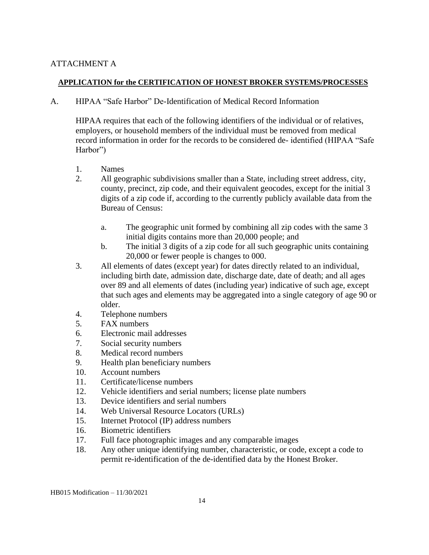# ATTACHMENT A

## **APPLICATION for the CERTIFICATION OF HONEST BROKER SYSTEMS/PROCESSES**

A. HIPAA "Safe Harbor" De-Identification of Medical Record Information

HIPAA requires that each of the following identifiers of the individual or of relatives, employers, or household members of the individual must be removed from medical record information in order for the records to be considered de- identified (HIPAA "Safe Harbor")

- 1. Names
- 2. All geographic subdivisions smaller than a State, including street address, city, county, precinct, zip code, and their equivalent geocodes, except for the initial 3 digits of a zip code if, according to the currently publicly available data from the Bureau of Census:
	- a. The geographic unit formed by combining all zip codes with the same 3 initial digits contains more than 20,000 people; and
	- b. The initial 3 digits of a zip code for all such geographic units containing 20,000 or fewer people is changes to 000.
- 3. All elements of dates (except year) for dates directly related to an individual, including birth date, admission date, discharge date, date of death; and all ages over 89 and all elements of dates (including year) indicative of such age, except that such ages and elements may be aggregated into a single category of age 90 or older.
- 4. Telephone numbers
- 5. FAX numbers
- 6. Electronic mail addresses
- 7. Social security numbers
- 8. Medical record numbers
- 9. Health plan beneficiary numbers
- 10. Account numbers
- 11. Certificate/license numbers
- 12. Vehicle identifiers and serial numbers; license plate numbers
- 13. Device identifiers and serial numbers
- 14. Web Universal Resource Locators (URLs)
- 15. Internet Protocol (IP) address numbers
- 16. Biometric identifiers
- 17. Full face photographic images and any comparable images
- 18. Any other unique identifying number, characteristic, or code, except a code to permit re-identification of the de-identified data by the Honest Broker.